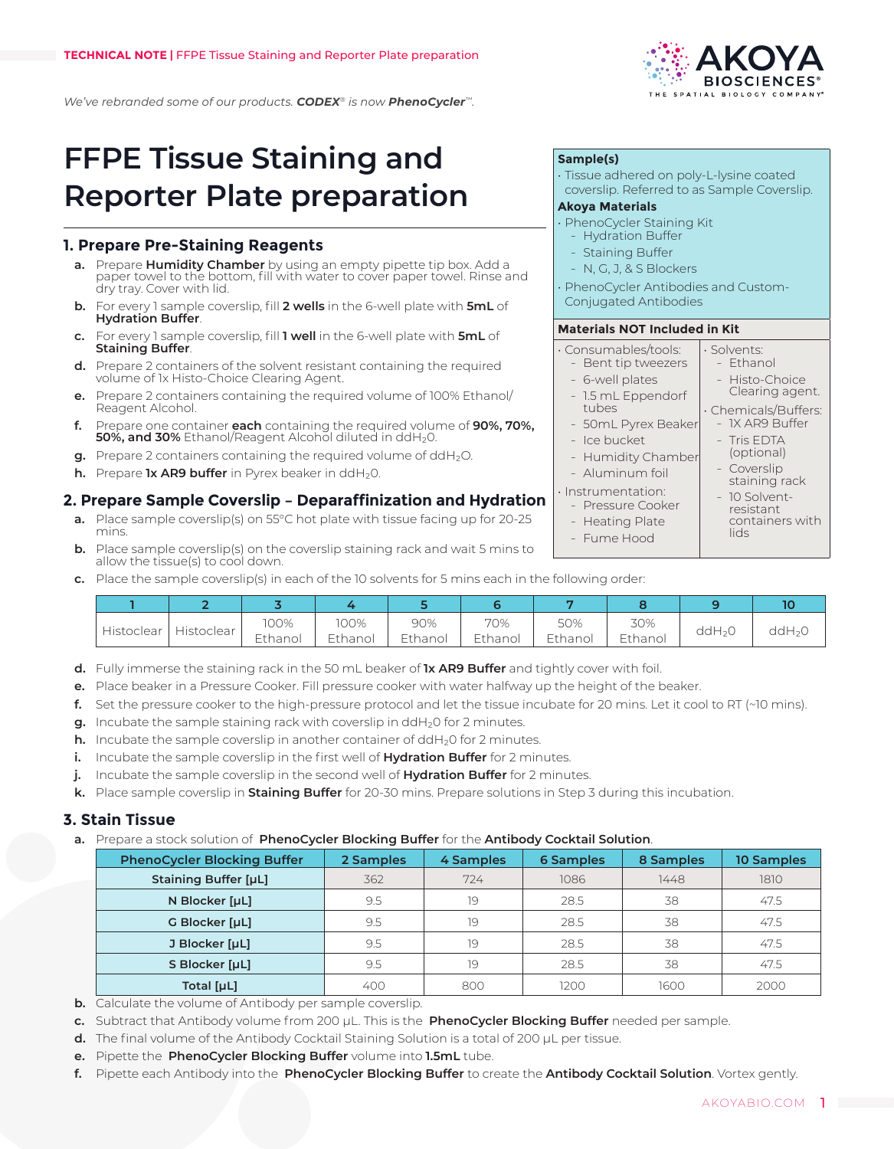*We've rebranded some of our products. CODEX® is now PhenoCycler™.*

# **FFPE Tissue Staining and Reporter Plate preparation**

### **1. Prepare Pre-Staining Reagents**

- **a.** Prepare **Humidity Chamber** by using an empty pipette tip box. Add a paper towel to the bottom, fill with water to cover paper towel. Rinse and dry tray. Cover with lid.
- **b.** For every 1 sample coverslip, fill **2 wells** in the 6-well plate with **5mL** of **Hydration Buffer**.
- **c.** For every 1 sample coverslip, fill **1 well** in the 6-well plate with **5mL** of **Staining Buffer**.
- **d.** Prepare 2 containers of the solvent resistant containing the required volume of 1x Histo-Choice Clearing Agent.
- **e.** Prepare 2 containers containing the required volume of 100% Ethanol/ Reagent Alcohol.
- **f.** Prepare one container **each** containing the required volume of **90%, 70%, 50%, and 30%** Ethanol/Reagent Alcohol diluted in ddH<sub>2</sub>0.
- **g.** Prepare 2 containers containing the required volume of ddH<sub>2</sub>O.
- **h.** Prepare **1x AR9 buffer** in Pyrex beaker in ddH<sub>2</sub>0.

## **2. Prepare Sample Coverslip – Deparaffinization and Hydration**

- **a.** Place sample coverslip(s) on 55°C hot plate with tissue facing up for 20-25 mins.
- **b.** Place sample coverslip(s) on the coverslip staining rack and wait 5 mins to allow the tissue(s) to cool down.
- **c.** Place the sample coverslip(s) in each of the 10 solvents for 5 mins each in the following order:

| ı Histoclear |            | 100%    | 100%    | 90%     | 70%     | 50%     | 30%     |                    |               |
|--------------|------------|---------|---------|---------|---------|---------|---------|--------------------|---------------|
|              | Histoclear | Ethanol | Ethanol | Ethanol | Ethanol | Ethanol | Ethanol | ddH <sub>2</sub> 0 | $d$ d $H_2$ C |

- **d.** Fully immerse the staining rack in the 50 mL beaker of **1x AR9 Buffer** and tightly cover with foil.
- **e.** Place beaker in a Pressure Cooker. Fill pressure cooker with water halfway up the height of the beaker.
- **f.** Set the pressure cooker to the high-pressure protocol and let the tissue incubate for 20 mins. Let it cool to RT (~10 mins).
- **g.** Incubate the sample staining rack with coverslip in ddH<sub>2</sub>0 for 2 minutes.
- **h.** Incubate the sample coverslip in another container of ddH<sub>2</sub>0 for 2 minutes.
- **i.** Incubate the sample coverslip in the first well of **Hydration Buffer** for 2 minutes.
- **j.** Incubate the sample coverslip in the second well of **Hydration Buffer** for 2 minutes.
- **k.** Place sample coverslip in **Staining Buffer** for 20-30 mins. Prepare solutions in Step 3 during this incubation.

#### **3. Stain Tissue**

**a.** Prepare a stock solution of **PhenoCycler Blocking Buffer** for the **Antibody Cocktail Solution**.

| <b>PhenoCycler Blocking Buffer</b> | 2 Samples | 4 Samples | <b>6 Samples</b> | 8 Samples | 10 Samples |
|------------------------------------|-----------|-----------|------------------|-----------|------------|
| <b>Staining Buffer [µL]</b>        | 362       | 724       | 1086             | 1448      | 1810       |
| N Blocker [µL]                     | 9.5       | 19        | 28.5             | 38        | 47.5       |
| G Blocker [µL]                     | 9.5       | 19        | 28.5             | 38        | 47.5       |
| J Blocker [µL]                     | 9.5       | 19        | 28.5             | 38        | 47.5       |
| S Blocker [µL]                     | 9.5       | 19        | 28.5             | 38        | 47.5       |
| Total [µL]                         | 400       | 800       | 1200             | 1600      | 2000       |

- **b.** Calculate the volume of Antibody per sample coverslip.
- **c.** Subtract that Antibody volume from 200 μL. This is the **PhenoCycler Blocking Buffer** needed per sample.
- **d.** The final volume of the Antibody Cocktail Staining Solution is a total of 200 μL per tissue.
- **e.** Pipette the **PhenoCycler Blocking Buffer** volume into **1.5mL** tube.
- **f.** Pipette each Antibody into the **PhenoCycler Blocking Buffer** to create the **Antibody Cocktail Solution**. Vortex gently.



lids

staining rack 10 Solventresistant containers with

• Solvents: - Ethanol - Histo-Choice Clearing agent. • Chemicals/Buffers: - IX AR9 Buffer - Tris EDTA

Aluminum foil

- 50mL Pyrex Beaker

- Instrumentation:
- Pressure Cooker
- Heating Plate

**Sample(s)**

**Akoya Materials** 

• PhenoCycler Staining Kit **Hydration Buffer** Staining Buffer - N, G, J, & S Blockers

Conjugated Antibodies

• Consumables/tools: - Bent tip tweezers - 6-well plates - 1.5 mL Eppendorf

tubes

- Ice bucket

**Materials NOT Included in Kit** 

- Fume Hood

• Tissue adhered on poly-L-lysine coated coverslip. Referred to as Sample Coverslip.

• PhenoCycler Antibodies and Custom-